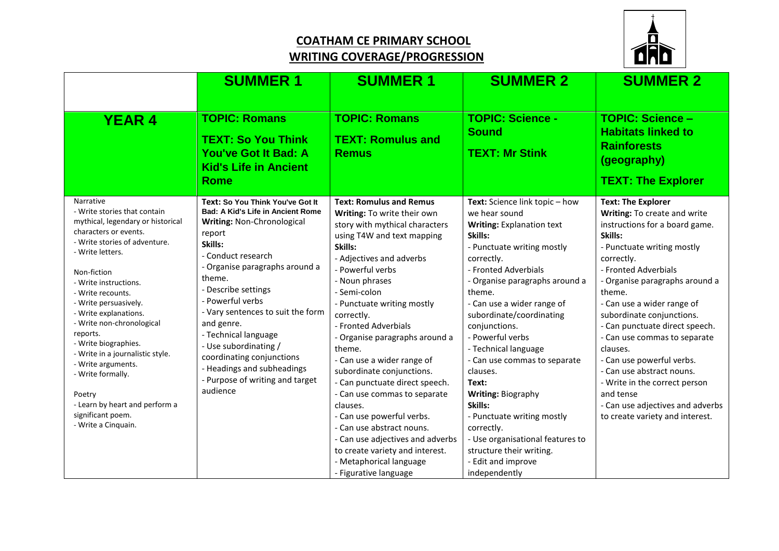## **COATHAM CE PRIMARY SCHOOL WRITING COVERAGE/PROGRESSION**



|                                                                                                                                                                                                                                                                                                                                                                                                                                                                                                                     | <b>SUMMER 1</b>                                                                                                                                                                                                                                                                                                                                                                                                                                     | <b>SUMMER 1</b>                                                                                                                                                                                                                                                                                                                                                                                                                                                                                                                                                                                                                                                          | <b>SUMMER 2</b>                                                                                                                                                                                                                                                                                                                                                                                                                                                                                                                                                                | <b>SUMMER 2</b>                                                                                                                                                                                                                                                                                                                                                                                                                                                                                                                                |
|---------------------------------------------------------------------------------------------------------------------------------------------------------------------------------------------------------------------------------------------------------------------------------------------------------------------------------------------------------------------------------------------------------------------------------------------------------------------------------------------------------------------|-----------------------------------------------------------------------------------------------------------------------------------------------------------------------------------------------------------------------------------------------------------------------------------------------------------------------------------------------------------------------------------------------------------------------------------------------------|--------------------------------------------------------------------------------------------------------------------------------------------------------------------------------------------------------------------------------------------------------------------------------------------------------------------------------------------------------------------------------------------------------------------------------------------------------------------------------------------------------------------------------------------------------------------------------------------------------------------------------------------------------------------------|--------------------------------------------------------------------------------------------------------------------------------------------------------------------------------------------------------------------------------------------------------------------------------------------------------------------------------------------------------------------------------------------------------------------------------------------------------------------------------------------------------------------------------------------------------------------------------|------------------------------------------------------------------------------------------------------------------------------------------------------------------------------------------------------------------------------------------------------------------------------------------------------------------------------------------------------------------------------------------------------------------------------------------------------------------------------------------------------------------------------------------------|
| <b>YEAR 4</b>                                                                                                                                                                                                                                                                                                                                                                                                                                                                                                       | <b>TOPIC: Romans</b><br><b>TEXT: So You Think</b><br><b>You've Got It Bad: A</b><br><b>Kid's Life in Ancient</b><br><b>Rome</b>                                                                                                                                                                                                                                                                                                                     | <b>TOPIC: Romans</b><br><b>TEXT: Romulus and</b><br><b>Remus</b>                                                                                                                                                                                                                                                                                                                                                                                                                                                                                                                                                                                                         | <b>TOPIC: Science -</b><br><b>Sound</b><br><b>TEXT: Mr Stink</b>                                                                                                                                                                                                                                                                                                                                                                                                                                                                                                               | <b>TOPIC: Science -</b><br><b>Habitats linked to</b><br><b>Rainforests</b><br>(geography)<br><b>TEXT: The Explorer</b>                                                                                                                                                                                                                                                                                                                                                                                                                         |
| Narrative<br>- Write stories that contain<br>mythical, legendary or historical<br>characters or events.<br>- Write stories of adventure.<br>- Write letters.<br>Non-fiction<br>- Write instructions.<br>- Write recounts.<br>- Write persuasively.<br>- Write explanations.<br>- Write non-chronological<br>reports.<br>- Write biographies.<br>- Write in a journalistic style.<br>- Write arguments.<br>- Write formally.<br>Poetry<br>- Learn by heart and perform a<br>significant poem.<br>- Write a Cinquain. | Text: So You Think You've Got It<br>Bad: A Kid's Life in Ancient Rome<br>Writing: Non-Chronological<br>report<br>Skills:<br>- Conduct research<br>- Organise paragraphs around a<br>theme.<br>- Describe settings<br>- Powerful verbs<br>- Vary sentences to suit the form<br>and genre.<br>- Technical language<br>- Use subordinating /<br>coordinating conjunctions<br>- Headings and subheadings<br>- Purpose of writing and target<br>audience | <b>Text: Romulus and Remus</b><br>Writing: To write their own<br>story with mythical characters<br>using T4W and text mapping<br>Skills:<br>- Adjectives and adverbs<br>- Powerful verbs<br>- Noun phrases<br>- Semi-colon<br>- Punctuate writing mostly<br>correctly.<br>- Fronted Adverbials<br>- Organise paragraphs around a<br>theme.<br>- Can use a wider range of<br>subordinate conjunctions.<br>- Can punctuate direct speech.<br>- Can use commas to separate<br>clauses.<br>- Can use powerful verbs.<br>- Can use abstract nouns.<br>- Can use adjectives and adverbs<br>to create variety and interest.<br>- Metaphorical language<br>- Figurative language | Text: Science link topic - how<br>we hear sound<br><b>Writing: Explanation text</b><br>Skills:<br>- Punctuate writing mostly<br>correctly.<br>- Fronted Adverbials<br>- Organise paragraphs around a<br>theme.<br>- Can use a wider range of<br>subordinate/coordinating<br>conjunctions.<br>- Powerful verbs<br>- Technical language<br>- Can use commas to separate<br>clauses.<br>Text:<br>Writing: Biography<br>Skills:<br>- Punctuate writing mostly<br>correctly.<br>- Use organisational features to<br>structure their writing.<br>- Edit and improve<br>independently | <b>Text: The Explorer</b><br>Writing: To create and write<br>instructions for a board game.<br>Skills:<br>- Punctuate writing mostly<br>correctly.<br>- Fronted Adverbials<br>- Organise paragraphs around a<br>theme.<br>- Can use a wider range of<br>subordinate conjunctions.<br>- Can punctuate direct speech.<br>- Can use commas to separate<br>clauses.<br>- Can use powerful verbs.<br>- Can use abstract nouns.<br>- Write in the correct person<br>and tense<br>- Can use adjectives and adverbs<br>to create variety and interest. |